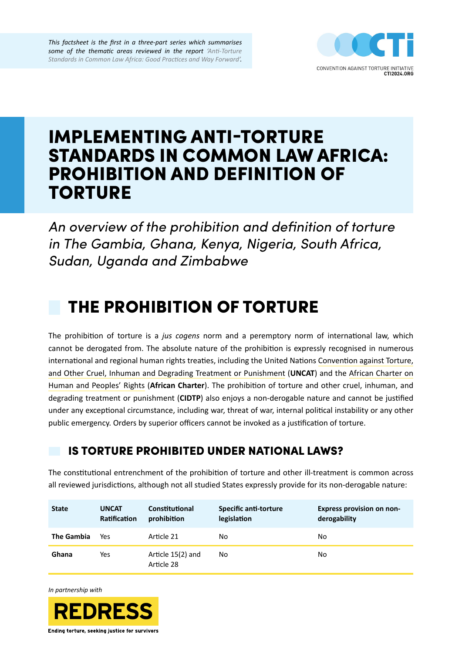*This factsheet is the first in a three-part series which summarises some of the thematic areas reviewed in the report ['Anti-Torture](https://redress.org/publication/anti-torture-standards-in-common-law-africa-good-practices-and-way-forward/)  [Standards in Common Law Africa: Good Practices and Way Forward'](https://redress.org/publication/anti-torture-standards-in-common-law-africa-good-practices-and-way-forward/).*



# IMPLEMENTING ANTI-TORTURE STANDARDS IN COMMON LAW AFRICA: PROHIBITION AND DEFINITION OF TORTURE

*An overview of the prohibition and definition of torture in The Gambia, Ghana, Kenya, Nigeria, South Africa, Sudan, Uganda and Zimbabwe*

# THE PROHIBITION OF TORTURE

The prohibition of torture is a *jus cogens* norm and a peremptory norm of international law, which cannot be derogated from. The absolute nature of the prohibition is expressly recognised in numerous international and regional human rights treaties, including the United Nations [Convention against Torture,](https://www.ohchr.org/en/professionalinterest/pages/cat.aspx)  [and Other Cruel, Inhuman and Degrading Treatment or Punishment](https://www.ohchr.org/en/professionalinterest/pages/cat.aspx) (**UNCAT**) and the [African Charter on](https://www.achpr.org/legalinstruments/detail?id=49)  [Human and Peoples' Rights](https://www.achpr.org/legalinstruments/detail?id=49) (**African Charter**). The prohibition of torture and other cruel, inhuman, and degrading treatment or punishment (**CIDTP**) also enjoys a non-derogable nature and cannot be justified under any exceptional circumstance, including war, threat of war, internal political instability or any other public emergency. Orders by superior officers cannot be invoked as a justification of torture.

## IS TORTURE PROHIBITED UNDER NATIONAL LAWS?

The constitutional entrenchment of the prohibition of torture and other ill-treatment is common across all reviewed jurisdictions, although not all studied States expressly provide for its non-derogable nature:

| <b>State</b>      | <b>UNCAT</b><br>Ratification | Constitutional<br>prohibition   | <b>Specific anti-torture</b><br>legislation | <b>Express provision on non-</b><br>derogability |
|-------------------|------------------------------|---------------------------------|---------------------------------------------|--------------------------------------------------|
| <b>The Gambia</b> | Yes                          | Article 21                      | No.                                         | No                                               |
| Ghana             | Yes                          | Article 15(2) and<br>Article 28 | No.                                         | No                                               |

*In partnership with*



Ending torture, seeking justice for survivors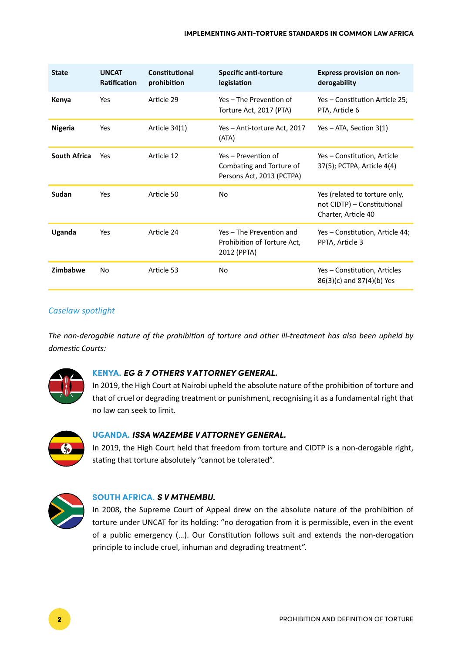| <b>State</b>        | <b>UNCAT</b><br><b>Ratification</b> | Constitutional<br>prohibition | <b>Specific anti-torture</b><br>legislation                                  | <b>Express provision on non-</b><br>derogability                                    |  |
|---------------------|-------------------------------------|-------------------------------|------------------------------------------------------------------------------|-------------------------------------------------------------------------------------|--|
| Kenya               | Yes                                 | Article 29                    | Yes – The Prevention of<br>Torture Act, 2017 (PTA)                           | Yes - Constitution Article 25;<br>PTA, Article 6                                    |  |
| Nigeria             | Yes                                 | Article 34(1)                 | Yes – Anti-torture Act, 2017<br>(ATA)                                        | $Yes - ATA, Section 3(1)$                                                           |  |
| <b>South Africa</b> | Yes                                 | Article 12                    | Yes - Prevention of<br>Combating and Torture of<br>Persons Act, 2013 (PCTPA) | Yes - Constitution, Article<br>37(5); PCTPA, Article 4(4)                           |  |
| Sudan               | Yes                                 | Article 50                    | N <sub>o</sub>                                                               | Yes (related to torture only,<br>not CIDTP) - Constitutional<br>Charter, Article 40 |  |
| Uganda              | Yes                                 | Article 24                    | Yes - The Prevention and<br>Prohibition of Torture Act,<br>2012 (PPTA)       | Yes - Constitution, Article 44;<br>PPTA, Article 3                                  |  |
| Zimbabwe            | No                                  | Article 53                    | No.                                                                          | Yes - Constitution, Articles<br>86(3)(c) and 87(4)(b) Yes                           |  |

### *Caselaw spotlight*

*The non-derogable nature of the prohibition of torture and other ill-treatment has also been upheld by domestic Courts:*



#### **KENYA.** *EG & 7 OTHERS V ATTORNEY GENERAL.*

In 2019, the High Court at Nairobi upheld the absolute nature of the prohibition of torture and that of cruel or degrading treatment or punishment, recognising it as a fundamental right that no law can seek to limit.



#### **UGANDA.** *ISSA WAZEMBE V ATTORNEY GENERAL.*

In 2019, the High Court held that freedom from torture and CIDTP is a non-derogable right, stating that torture absolutely "cannot be tolerated".



#### **SOUTH AFRICA.** *S V MTHEMBU.*

In 2008, the Supreme Court of Appeal drew on the absolute nature of the prohibition of torture under UNCAT for its holding: "no derogation from it is permissible, even in the event of a public emergency (…). Our Constitution follows suit and extends the non-derogation principle to include cruel, inhuman and degrading treatment".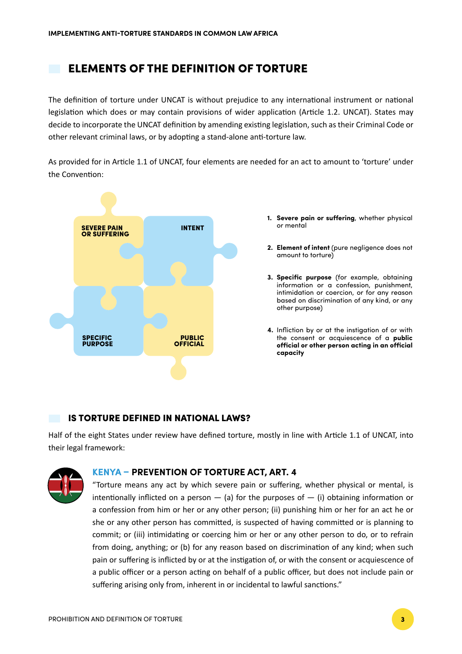## ELEMENTS OF THE DEFINITION OF TORTURE

The definition of torture under UNCAT is without prejudice to any international instrument or national legislation which does or may contain provisions of wider application (Article 1.2. UNCAT). States may decide to incorporate the UNCAT definition by amending existing legislation, such as their Criminal Code or other relevant criminal laws, or by adopting a stand-alone anti-torture law.

As provided for in Article 1.1 of UNCAT, four elements are needed for an act to amount to 'torture' under the Convention:



- **Severe pain or suffering**, whether physical **1.** or mental
- **Element of intent** (pure negligence does not **2.** amount to torture)
- **Specific purpose** (for example, obtaining **3.** information or a confession, punishment, intimidation or coercion, or for any reason based on discrimination of any kind, or any other purpose)
- **4.** Infliction by or at the instigation of or with the consent or acquiescence of a **public official or other person acting in an official capacity**

### IS TORTURE DEFINED IN NATIONAL LAWS?

Half of the eight States under review have defined torture, mostly in line with Article 1.1 of UNCAT, into their legal framework:



### **KENYA – PREVENTION OF TORTURE ACT, ART. 4**

"Torture means any act by which severe pain or suffering, whether physical or mental, is intentionally inflicted on a person  $-$  (a) for the purposes of  $-$  (i) obtaining information or a confession from him or her or any other person; (ii) punishing him or her for an act he or she or any other person has committed, is suspected of having committed or is planning to commit; or (iii) intimidating or coercing him or her or any other person to do, or to refrain from doing, anything; or (b) for any reason based on discrimination of any kind; when such pain or suffering is inflicted by or at the instigation of, or with the consent or acquiescence of a public officer or a person acting on behalf of a public officer, but does not include pain or suffering arising only from, inherent in or incidental to lawful sanctions."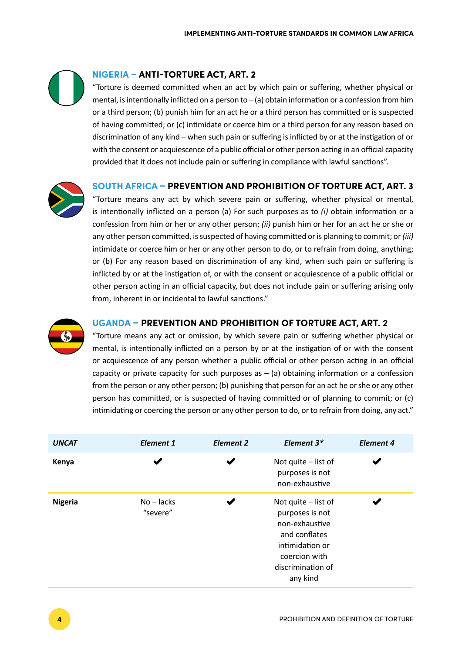## **NIGERIA – ANTI-TORTURE ACT, ART. 2**

"Torture is deemed committed when an act by which pain or suffering, whether physical or mental, is intentionally inflicted on a person to – (a) obtain information or a confession from him or a third person; (b) punish him for an act he or a third person has committed or is suspected of having committed; or (c) intimidate or coerce him or a third person for any reason based on discrimination of any kind – when such pain or suffering is inflicted by or at the instigation of or with the consent or acquiescence of a public official or other person acting in an official capacity provided that it does not include pain or suffering in compliance with lawful sanctions".



### **SOUTH AFRICA – PREVENTION AND PROHIBITION OF TORTURE ACT, ART. 3**

"Torture means any act by which severe pain or suffering, whether physical or mental, is intentionally inflicted on a person (a) For such purposes as to *(i)* obtain information or a confession from him or her or any other person; *(ii)* punish him or her for an act he or she or any other person committed, is suspected of having committed or is planning to commit; or *(iii)* intimidate or coerce him or her or any other person to do, or to refrain from doing, anything; or (b) For any reason based on discrimination of any kind, when such pain or suffering is inflicted by or at the instigation of, or with the consent or acquiescence of a public official or other person acting in an official capacity, but does not include pain or suffering arising only from, inherent in or incidental to lawful sanctions."



#### **UGANDA – PREVENTION AND PROHIBITION OF TORTURE ACT, ART. 2**

"Torture means any act or omission, by which severe pain or suffering whether physical or mental, is intentionally inflicted on a person by or at the instigation of or with the consent or acquiescence of any person whether a public official or other person acting in an official capacity or private capacity for such purposes as  $-$  (a) obtaining information or a confession from the person or any other person; (b) punishing that person for an act he or she or any other person has committed, or is suspected of having committed or of planning to commit; or (c) intimidating or coercing the person or any other person to do, or to refrain from doing, any act."

| <b>UNCAT</b>   | <b>Element 1</b>         | <b>Element 2</b> | Element $3*$                                                                                                                                     | <b>Element 4</b> |
|----------------|--------------------------|------------------|--------------------------------------------------------------------------------------------------------------------------------------------------|------------------|
| Kenya          |                          |                  | Not quite $-$ list of<br>purposes is not<br>non-exhaustive                                                                                       |                  |
| <b>Nigeria</b> | $No - lacks$<br>"severe" |                  | Not quite $-$ list of<br>purposes is not<br>non-exhaustive<br>and conflates<br>intimidation or<br>coercion with<br>discrimination of<br>any kind |                  |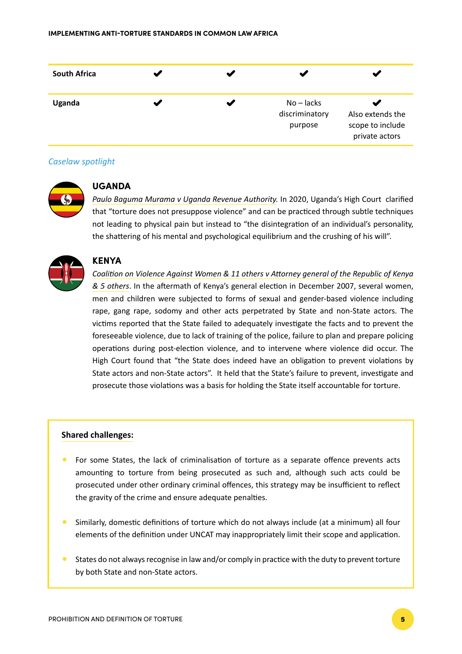| <b>South Africa</b> |  |                                           |                                                        |
|---------------------|--|-------------------------------------------|--------------------------------------------------------|
| Uganda              |  | $No - lacks$<br>discriminatory<br>purpose | Also extends the<br>scope to include<br>private actors |

#### *Caselaw spotlight*



#### **UGANDA**

*[Paulo Baguma Murama v Uganda Revenue Authority](https://ulii.org/ug/judgment/hc-civil-division-uganda/2020/29).* In 2020, Uganda's High Court clarified that "torture does not presuppose violence" and can be practiced through subtle techniques not leading to physical pain but instead to "the disintegration of an individual's personality, the shattering of his mental and psychological equilibrium and the crushing of his will".



#### **KENYA**

*[Coalition on Violence Against Women & 11 others v Attorney general of the Republic of Kenya](http://kenyalaw.org/caselaw/cases/view/206218/)  [& 5 others](http://kenyalaw.org/caselaw/cases/view/206218/)*. In the aftermath of Kenya's general election in December 2007, several women, men and children were subjected to forms of sexual and gender-based violence including rape, gang rape, sodomy and other acts perpetrated by State and non-State actors. The victims reported that the State failed to adequately investigate the facts and to prevent the foreseeable violence, due to lack of training of the police, failure to plan and prepare policing operations during post-election violence, and to intervene where violence did occur. The High Court found that "the State does indeed have an obligation to prevent violations by State actors and non-State actors". It held that the State's failure to prevent, investigate and prosecute those violations was a basis for holding the State itself accountable for torture.

#### **Shared challenges:**

- For some States, the lack of criminalisation of torture as a separate offence prevents acts amounting to torture from being prosecuted as such and, although such acts could be prosecuted under other ordinary criminal offences, this strategy may be insufficient to reflect the gravity of the crime and ensure adequate penalties.
- Similarly, domestic definitions of torture which do not always include (at a minimum) all four elements of the definition under UNCAT may inappropriately limit their scope and application.
- States do not always recognise in law and/or comply in practice with the duty to prevent torture by both State and non-State actors.